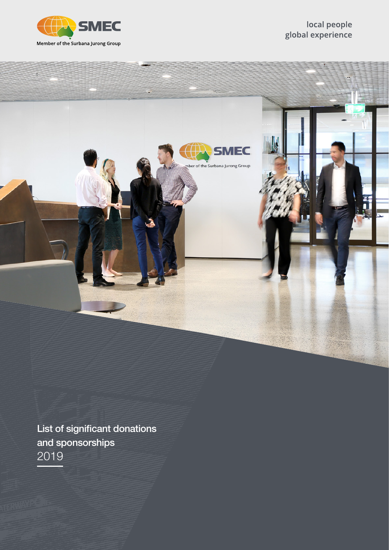



List of significant donations and sponsorships 2019